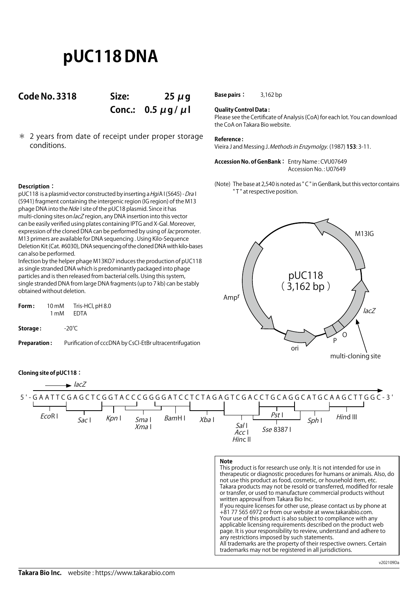# **pUC118 DNA**

## **Code No. 3318 Size: 25 μg**

**Conc.: 0.5 μg / μl**

\* 2 years from date of receipt under proper storage conditions.

**Base pairs:** 3,162 bp

## **Quality Control Data :**

Please see the Certificate of Analysis (CoA) for each lot. You can download the CoA on Takara Bio website.

### **Reference :**

Vieira J and Messing J. Methods in Enzymolgy. (1987) **153**: 3-11.

**Accession No. of GenBank :** Entry Name : CVU07649 Accession No. : U07649

(Note) The base at 2,540 is noted as " C " in GenBank, but this vector contains " T " at respective position.

## **Description:**

pUC118 is a plasmid vector constructed by inserting a HgiA I (5645) - Dra I (5941) fragment containing the intergenic region (IG region) of the M13 phage DNA into the Nde I site of the pUC18 plasmid. Since it has multi-cloning sites on lacZ region, any DNA insertion into this vector can be easily verified using plates containing IPTG and X-Gal. Moreover, expression of the cloned DNA can be performed by using of *lac* promoter. M13 primers are available for DNA sequencing . Using Kilo-Sequence Deletion Kit (Cat. #6030), DNA sequencing of the cloned DNA with kilo-bases can also be performed.

Infection by the helper phage M13KO7 induces the production of pUC118 as single stranded DNA which is predominantly packaged into phage particles and is then released from bacterial cells. Using this system, single stranded DNA from large DNA fragments (up to 7 kb) can be stably obtained without deletion.

|      | Tris-HCl, pH 8.0   |
|------|--------------------|
| 1 mM | EDTA               |
|      | $-20^{\circ}$ C    |
|      | $10 \,\mathrm{mM}$ |

Preparation: Purification of cccDNA by CsCl-EtBr ultracentrifugation



## **Cloning site of pUC118:**